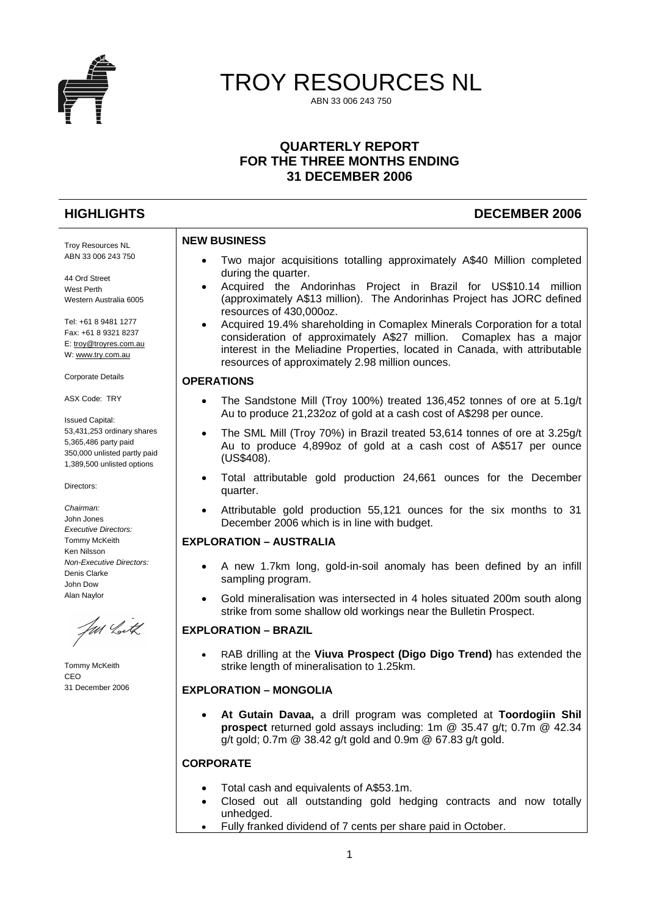

TROY RESOURCES NL

ABN 33 006 243 750

## **QUARTERLY REPORT FOR THE THREE MONTHS ENDING 31 DECEMBER 2006**

Troy Resources NL ABN 33 006 243 750

44 Ord Street West Perth Western Australia 6005

Tel: +61 8 9481 1277 Fax: +61 8 9321 8237 E: [troy@troyres.com.au](mailto:troy@troyres.com.au) W: [www.try.com.au](http://www.try.com.au/)

Corporate Details

ASX Code: TRY

Issued Capital: 53,431,253 ordinary shares 5,365,486 party paid 350,000 unlisted partly paid 1,389,500 unlisted options

Directors:

*Chairman:*  John Jones *Executive Directors:*  Tommy McKeith Ken Nilsson *Non-Executive Directors:*  Denis Clarke John Dow Alan Naylor

M Loth

Tommy McKeith CEO 31 December 2006

# **HIGHLIGHTS DECEMBER 2006**

## **NEW BUSINESS**

- Two major acquisitions totalling approximately A\$40 Million completed during the quarter.
	- Acquired the Andorinhas Project in Brazil for US\$10.14 million (approximately A\$13 million). The Andorinhas Project has JORC defined resources of 430,000oz.
- Acquired 19.4% shareholding in Comaplex Minerals Corporation for a total consideration of approximately A\$27 million. Comaplex has a major interest in the Meliadine Properties, located in Canada, with attributable resources of approximately 2.98 million ounces.

## **OPERATIONS**

- The Sandstone Mill (Troy 100%) treated 136,452 tonnes of ore at 5.1g/t Au to produce 21,232oz of gold at a cash cost of A\$298 per ounce.
- The SML Mill (Troy 70%) in Brazil treated 53,614 tonnes of ore at 3.25g/t Au to produce 4,899oz of gold at a cash cost of A\$517 per ounce (US\$408).
- Total attributable gold production 24,661 ounces for the December quarter.
- Attributable gold production 55,121 ounces for the six months to 31 December 2006 which is in line with budget.

## **EXPLORATION – AUSTRALIA**

- A new 1.7km long, gold-in-soil anomaly has been defined by an infill sampling program.
- Gold mineralisation was intersected in 4 holes situated 200m south along strike from some shallow old workings near the Bulletin Prospect.

## **EXPLORATION – BRAZIL**

• RAB drilling at the **Viuva Prospect (Digo Digo Trend)** has extended the strike length of mineralisation to 1.25km.

## **EXPLORATION – MONGOLIA**

• **At Gutain Davaa,** a drill program was completed at **Toordogiin Shil prospect** returned gold assays including: 1m @ 35.47 g/t; 0.7m @ 42.34 g/t gold; 0.7m @ 38.42 g/t gold and 0.9m @ 67.83 g/t gold.

## **CORPORATE**

- Total cash and equivalents of A\$53.1m.
- Closed out all outstanding gold hedging contracts and now totally unhedged.
- Fully franked dividend of 7 cents per share paid in October.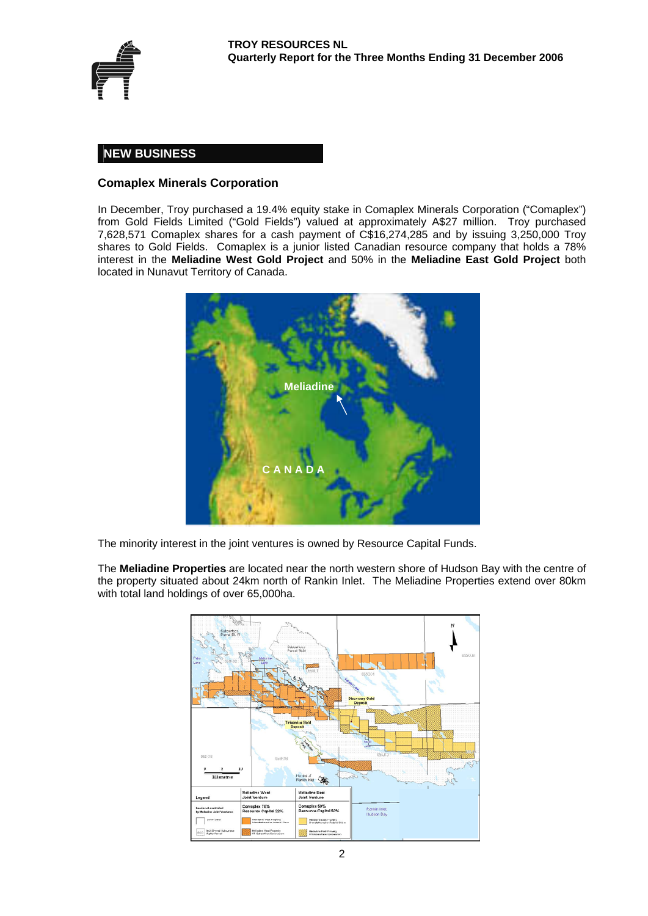

## **NEW BUSINESS**

## **Comaplex Minerals Corporation**

In December, Troy purchased a 19.4% equity stake in Comaplex Minerals Corporation ("Comaplex") from Gold Fields Limited ("Gold Fields") valued at approximately A\$27 million. Troy purchased 7,628,571 Comaplex shares for a cash payment of C\$16,274,285 and by issuing 3,250,000 Troy shares to Gold Fields. Comaplex is a junior listed Canadian resource company that holds a 78% interest in the **Meliadine West Gold Project** and 50% in the **Meliadine East Gold Project** both located in Nunavut Territory of Canada.



The minority interest in the joint ventures is owned by Resource Capital Funds.

The **Meliadine Properties** are located near the north western shore of Hudson Bay with the centre of the property situated about 24km north of Rankin Inlet. The Meliadine Properties extend over 80km with total land holdings of over 65,000ha.

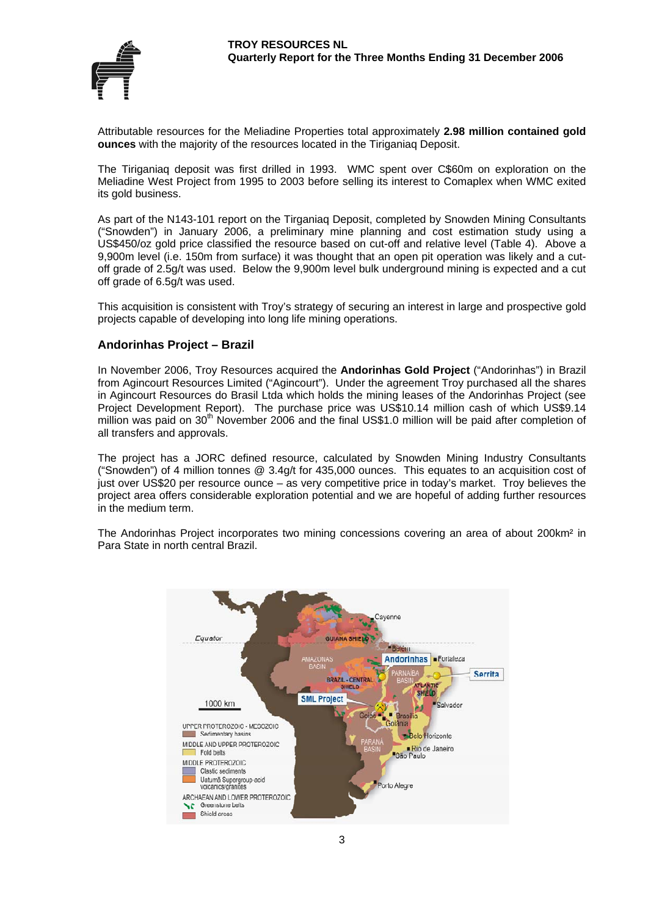

Attributable resources for the Meliadine Properties total approximately **2.98 million contained gold ounces** with the majority of the resources located in the Tiriganiaq Deposit.

The Tiriganiaq deposit was first drilled in 1993. WMC spent over C\$60m on exploration on the Meliadine West Project from 1995 to 2003 before selling its interest to Comaplex when WMC exited its gold business.

As part of the N143-101 report on the Tirganiaq Deposit, completed by Snowden Mining Consultants ("Snowden") in January 2006, a preliminary mine planning and cost estimation study using a US\$450/oz gold price classified the resource based on cut-off and relative level (Table 4). Above a 9,900m level (i.e. 150m from surface) it was thought that an open pit operation was likely and a cutoff grade of 2.5g/t was used. Below the 9,900m level bulk underground mining is expected and a cut off grade of 6.5g/t was used.

This acquisition is consistent with Troy's strategy of securing an interest in large and prospective gold projects capable of developing into long life mining operations.

## **Andorinhas Project – Brazil**

In November 2006, Troy Resources acquired the **Andorinhas Gold Project** ("Andorinhas") in Brazil from Agincourt Resources Limited ("Agincourt"). Under the agreement Troy purchased all the shares in Agincourt Resources do Brasil Ltda which holds the mining leases of the Andorinhas Project (see Project Development Report). The purchase price was US\$10.14 million cash of which US\$9.14 million was paid on 30<sup>th</sup> November 2006 and the final US\$1.0 million will be paid after completion of all transfers and approvals.

The project has a JORC defined resource, calculated by Snowden Mining Industry Consultants ("Snowden") of 4 million tonnes @ 3.4g/t for 435,000 ounces. This equates to an acquisition cost of just over US\$20 per resource ounce – as very competitive price in today's market. Troy believes the project area offers considerable exploration potential and we are hopeful of adding further resources in the medium term.

The Andorinhas Project incorporates two mining concessions covering an area of about 200km<sup>2</sup> in Para State in north central Brazil.

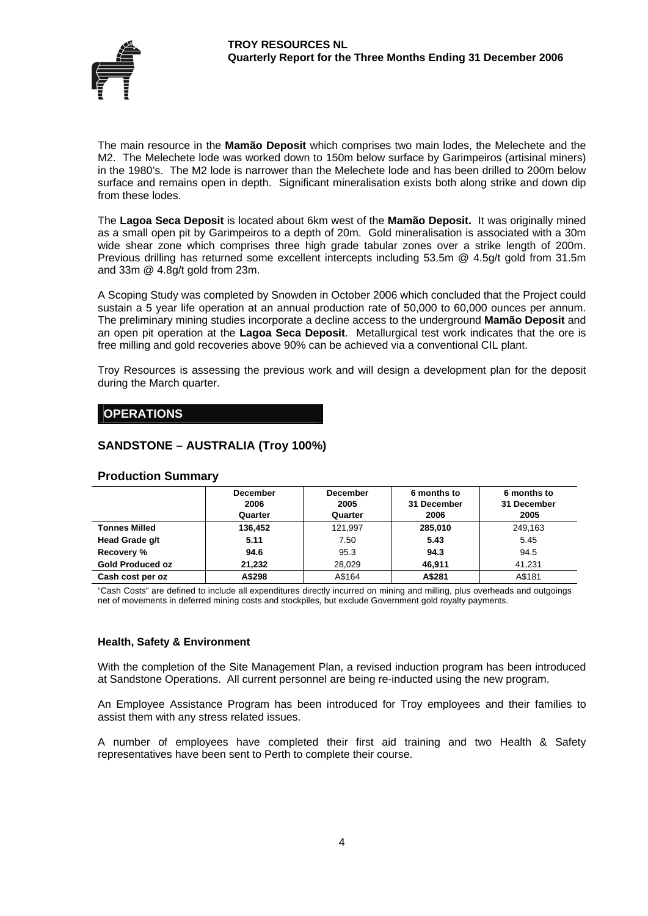

The main resource in the **Mamão Deposit** which comprises two main lodes, the Melechete and the M2. The Melechete lode was worked down to 150m below surface by Garimpeiros (artisinal miners) in the 1980's. The M2 lode is narrower than the Melechete lode and has been drilled to 200m below surface and remains open in depth. Significant mineralisation exists both along strike and down dip from these lodes.

The **Lagoa Seca Deposit** is located about 6km west of the **Mamão Deposit.** It was originally mined as a small open pit by Garimpeiros to a depth of 20m. Gold mineralisation is associated with a 30m wide shear zone which comprises three high grade tabular zones over a strike length of 200m. Previous drilling has returned some excellent intercepts including 53.5m @ 4.5g/t gold from 31.5m and 33m @ 4.8g/t gold from 23m.

A Scoping Study was completed by Snowden in October 2006 which concluded that the Project could sustain a 5 year life operation at an annual production rate of 50,000 to 60,000 ounces per annum. The preliminary mining studies incorporate a decline access to the underground **Mamão Deposit** and an open pit operation at the **Lagoa Seca Deposit**. Metallurgical test work indicates that the ore is free milling and gold recoveries above 90% can be achieved via a conventional CIL plant.

Troy Resources is assessing the previous work and will design a development plan for the deposit during the March quarter.

## **OPERATIONS**

## **SANDSTONE – AUSTRALIA (Troy 100%)**

|                         | <b>December</b><br>2006<br>Quarter | <b>December</b><br>2005<br>Quarter | 6 months to<br>31 December<br>2006 | 6 months to<br>31 December<br>2005 |
|-------------------------|------------------------------------|------------------------------------|------------------------------------|------------------------------------|
| <b>Tonnes Milled</b>    | 136,452                            | 121.997                            | 285,010                            | 249,163                            |
| Head Grade g/t          | 5.11                               | 7.50                               | 5.43                               | 5.45                               |
| Recovery %              | 94.6                               | 95.3                               | 94.3                               | 94.5                               |
| <b>Gold Produced oz</b> | 21.232                             | 28.029                             | 46.911                             | 41.231                             |
| Cash cost per oz        | A\$298                             | A\$164                             | A\$281                             | A\$181                             |

#### **Production Summary**

"Cash Costs" are defined to include all expenditures directly incurred on mining and milling, plus overheads and outgoings net of movements in deferred mining costs and stockpiles, but exclude Government gold royalty payments.

#### **Health, Safety & Environment**

With the completion of the Site Management Plan, a revised induction program has been introduced at Sandstone Operations. All current personnel are being re-inducted using the new program.

An Employee Assistance Program has been introduced for Troy employees and their families to assist them with any stress related issues.

A number of employees have completed their first aid training and two Health & Safety representatives have been sent to Perth to complete their course.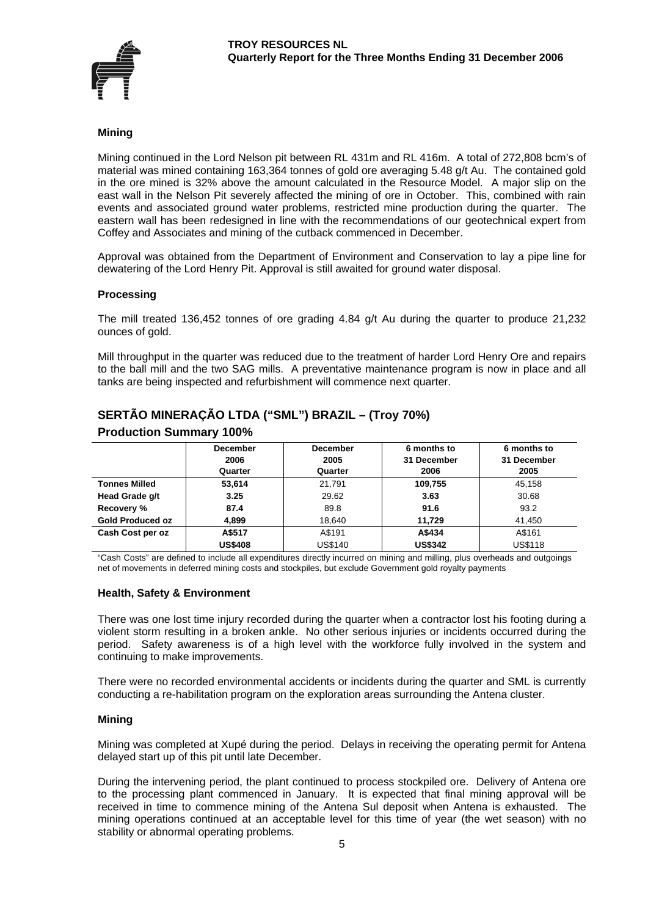## **Mining**

Mining continued in the Lord Nelson pit between RL 431m and RL 416m. A total of 272,808 bcm's of material was mined containing 163,364 tonnes of gold ore averaging 5.48 g/t Au. The contained gold in the ore mined is 32% above the amount calculated in the Resource Model. A major slip on the east wall in the Nelson Pit severely affected the mining of ore in October. This, combined with rain events and associated ground water problems, restricted mine production during the quarter. The eastern wall has been redesigned in line with the recommendations of our geotechnical expert from Coffey and Associates and mining of the cutback commenced in December.

Approval was obtained from the Department of Environment and Conservation to lay a pipe line for dewatering of the Lord Henry Pit. Approval is still awaited for ground water disposal.

## **Processing**

The mill treated 136,452 tonnes of ore grading 4.84 g/t Au during the quarter to produce 21,232 ounces of gold.

Mill throughput in the quarter was reduced due to the treatment of harder Lord Henry Ore and repairs to the ball mill and the two SAG mills. A preventative maintenance program is now in place and all tanks are being inspected and refurbishment will commence next quarter.

#### **December 2006 Quarter December 2005 Quarter 6 months to 31 December 2006 6 months to 31 December 2005 Tonnes Milled 53,614** 21,791 **109,755** 45,158 **Head Grade g/t 3.25** 29.62 **3.63** 30.68 **Recovery % 87.4** 89.8 **91.6** 93.2 **Gold Produced oz 4,899** 18,640 **11,729** 41,450 **Cash Cost per oz | A\$517 | A\$191 | A\$434 | A\$161 US\$408** US\$140 **US\$342** US\$118

## **SERTÃO MINERAÇÃO LTDA ("SML") BRAZIL – (Troy 70%)**

"Cash Costs" are defined to include all expenditures directly incurred on mining and milling, plus overheads and outgoings net of movements in deferred mining costs and stockpiles, but exclude Government gold royalty payments

## **Health, Safety & Environment**

**Production Summary 100%** 

There was one lost time injury recorded during the quarter when a contractor lost his footing during a violent storm resulting in a broken ankle. No other serious injuries or incidents occurred during the period. Safety awareness is of a high level with the workforce fully involved in the system and continuing to make improvements.

There were no recorded environmental accidents or incidents during the quarter and SML is currently conducting a re-habilitation program on the exploration areas surrounding the Antena cluster.

#### **Mining**

Mining was completed at Xupé during the period. Delays in receiving the operating permit for Antena delayed start up of this pit until late December.

During the intervening period, the plant continued to process stockpiled ore. Delivery of Antena ore to the processing plant commenced in January. It is expected that final mining approval will be received in time to commence mining of the Antena Sul deposit when Antena is exhausted. The mining operations continued at an acceptable level for this time of year (the wet season) with no stability or abnormal operating problems.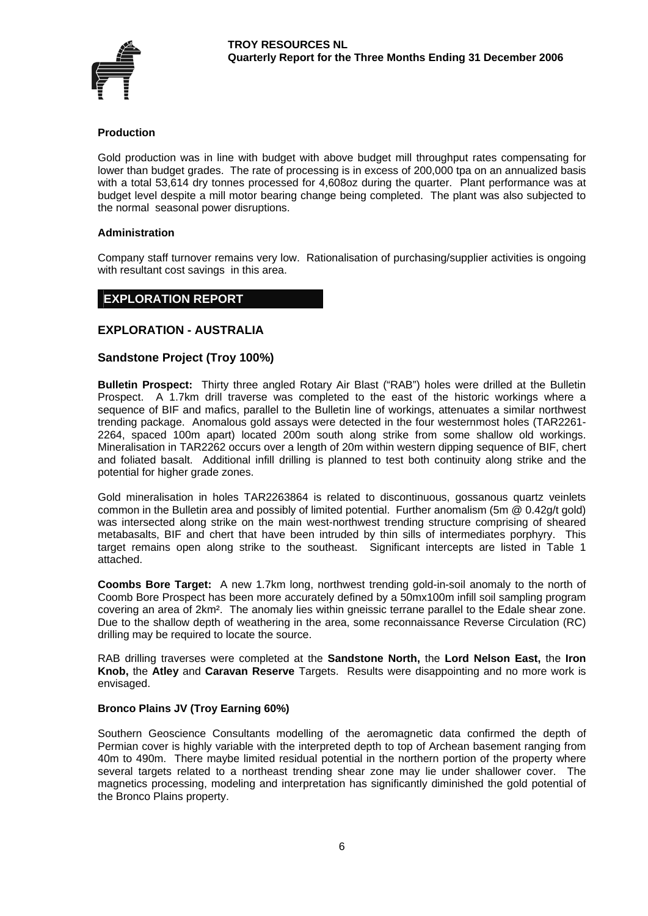

## **Production**

Gold production was in line with budget with above budget mill throughput rates compensating for lower than budget grades. The rate of processing is in excess of 200,000 tpa on an annualized basis with a total 53,614 dry tonnes processed for 4,608oz during the quarter. Plant performance was at budget level despite a mill motor bearing change being completed. The plant was also subjected to the normal seasonal power disruptions.

## **Administration**

Company staff turnover remains very low. Rationalisation of purchasing/supplier activities is ongoing with resultant cost savings in this area.

## **EXPLORATION REPORT**

## **EXPLORATION - AUSTRALIA**

## **Sandstone Project (Troy 100%)**

**Bulletin Prospect:** Thirty three angled Rotary Air Blast ("RAB") holes were drilled at the Bulletin Prospect. A 1.7km drill traverse was completed to the east of the historic workings where a sequence of BIF and mafics, parallel to the Bulletin line of workings, attenuates a similar northwest trending package. Anomalous gold assays were detected in the four westernmost holes (TAR2261- 2264, spaced 100m apart) located 200m south along strike from some shallow old workings. Mineralisation in TAR2262 occurs over a length of 20m within western dipping sequence of BIF, chert and foliated basalt. Additional infill drilling is planned to test both continuity along strike and the potential for higher grade zones.

Gold mineralisation in holes TAR2263864 is related to discontinuous, gossanous quartz veinlets common in the Bulletin area and possibly of limited potential. Further anomalism (5m @ 0.42g/t gold) was intersected along strike on the main west-northwest trending structure comprising of sheared metabasalts, BIF and chert that have been intruded by thin sills of intermediates porphyry. This target remains open along strike to the southeast. Significant intercepts are listed in Table 1 attached.

**Coombs Bore Target:** A new 1.7km long, northwest trending gold-in-soil anomaly to the north of Coomb Bore Prospect has been more accurately defined by a 50mx100m infill soil sampling program covering an area of 2km². The anomaly lies within gneissic terrane parallel to the Edale shear zone. Due to the shallow depth of weathering in the area, some reconnaissance Reverse Circulation (RC) drilling may be required to locate the source.

RAB drilling traverses were completed at the **Sandstone North,** the **Lord Nelson East,** the **Iron Knob,** the **Atley** and **Caravan Reserve** Targets. Results were disappointing and no more work is envisaged.

## **Bronco Plains JV (Troy Earning 60%)**

Southern Geoscience Consultants modelling of the aeromagnetic data confirmed the depth of Permian cover is highly variable with the interpreted depth to top of Archean basement ranging from 40m to 490m. There maybe limited residual potential in the northern portion of the property where several targets related to a northeast trending shear zone may lie under shallower cover. The magnetics processing, modeling and interpretation has significantly diminished the gold potential of the Bronco Plains property.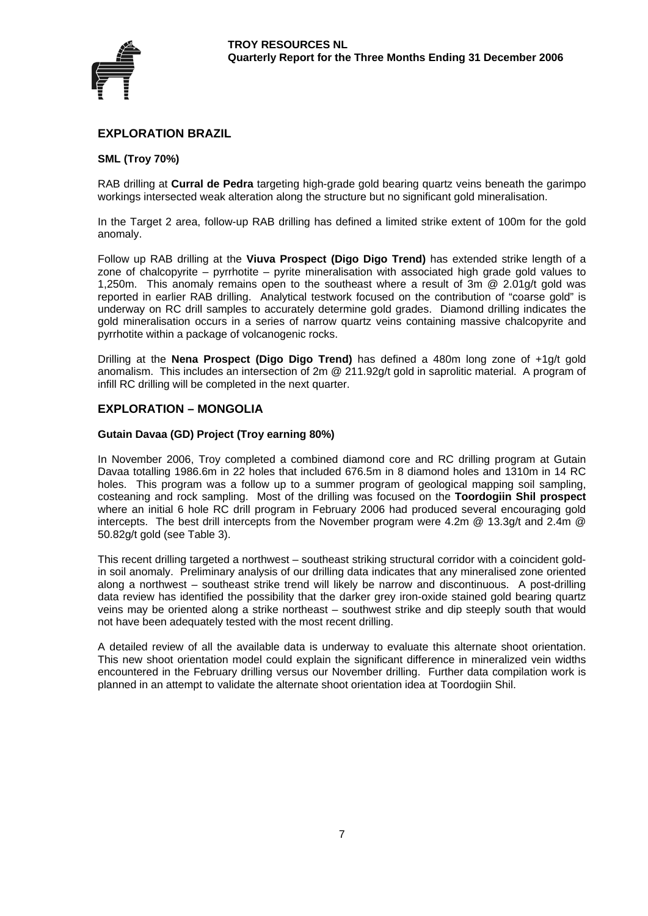

## **EXPLORATION BRAZIL**

## **SML (Troy 70%)**

RAB drilling at **Curral de Pedra** targeting high-grade gold bearing quartz veins beneath the garimpo workings intersected weak alteration along the structure but no significant gold mineralisation.

In the Target 2 area, follow-up RAB drilling has defined a limited strike extent of 100m for the gold anomaly.

Follow up RAB drilling at the **Viuva Prospect (Digo Digo Trend)** has extended strike length of a zone of chalcopyrite – pyrrhotite – pyrite mineralisation with associated high grade gold values to 1,250m. This anomaly remains open to the southeast where a result of 3m @ 2.01g/t gold was reported in earlier RAB drilling. Analytical testwork focused on the contribution of "coarse gold" is underway on RC drill samples to accurately determine gold grades. Diamond drilling indicates the gold mineralisation occurs in a series of narrow quartz veins containing massive chalcopyrite and pyrrhotite within a package of volcanogenic rocks.

Drilling at the **Nena Prospect (Digo Digo Trend)** has defined a 480m long zone of +1g/t gold anomalism. This includes an intersection of 2m @ 211.92g/t gold in saprolitic material. A program of infill RC drilling will be completed in the next quarter.

## **EXPLORATION – MONGOLIA**

#### **Gutain Davaa (GD) Project (Troy earning 80%)**

In November 2006, Troy completed a combined diamond core and RC drilling program at Gutain Davaa totalling 1986.6m in 22 holes that included 676.5m in 8 diamond holes and 1310m in 14 RC holes. This program was a follow up to a summer program of geological mapping soil sampling, costeaning and rock sampling. Most of the drilling was focused on the **Toordogiin Shil prospect** where an initial 6 hole RC drill program in February 2006 had produced several encouraging gold intercepts. The best drill intercepts from the November program were 4.2m @ 13.3g/t and 2.4m @ 50.82g/t gold (see Table 3).

This recent drilling targeted a northwest – southeast striking structural corridor with a coincident goldin soil anomaly. Preliminary analysis of our drilling data indicates that any mineralised zone oriented along a northwest – southeast strike trend will likely be narrow and discontinuous. A post-drilling data review has identified the possibility that the darker grey iron-oxide stained gold bearing quartz veins may be oriented along a strike northeast – southwest strike and dip steeply south that would not have been adequately tested with the most recent drilling.

A detailed review of all the available data is underway to evaluate this alternate shoot orientation. This new shoot orientation model could explain the significant difference in mineralized vein widths encountered in the February drilling versus our November drilling. Further data compilation work is planned in an attempt to validate the alternate shoot orientation idea at Toordogiin Shil.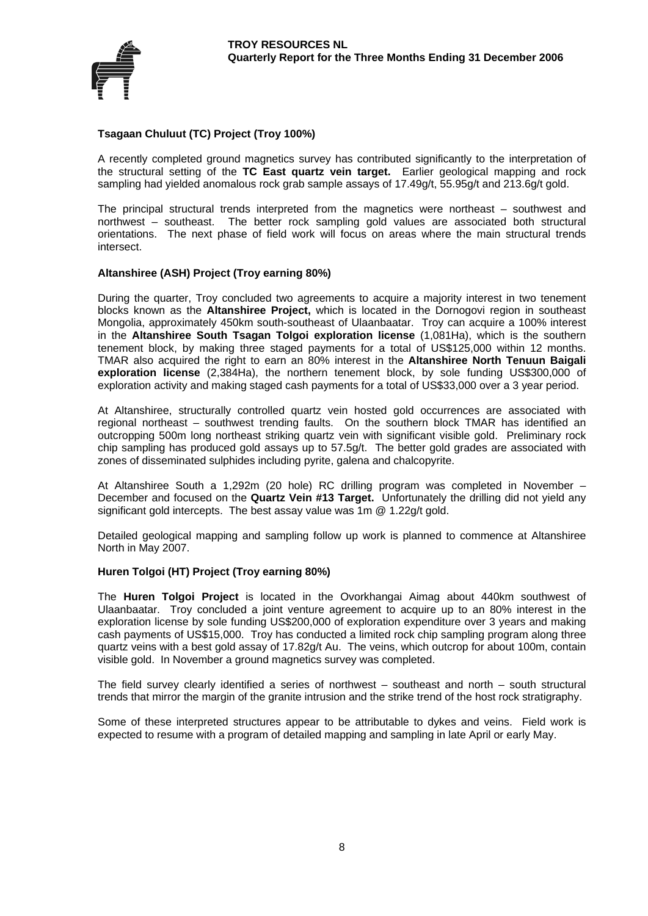

## **Tsagaan Chuluut (TC) Project (Troy 100%)**

A recently completed ground magnetics survey has contributed significantly to the interpretation of the structural setting of the **TC East quartz vein target.** Earlier geological mapping and rock sampling had yielded anomalous rock grab sample assays of 17.49g/t, 55.95g/t and 213.6g/t gold.

The principal structural trends interpreted from the magnetics were northeast – southwest and northwest – southeast. The better rock sampling gold values are associated both structural orientations. The next phase of field work will focus on areas where the main structural trends intersect.

## **Altanshiree (ASH) Project (Troy earning 80%)**

During the quarter, Troy concluded two agreements to acquire a majority interest in two tenement blocks known as the **Altanshiree Project,** which is located in the Dornogovi region in southeast Mongolia, approximately 450km south-southeast of Ulaanbaatar. Troy can acquire a 100% interest in the **Altanshiree South Tsagan Tolgoi exploration license** (1,081Ha), which is the southern tenement block, by making three staged payments for a total of US\$125,000 within 12 months. TMAR also acquired the right to earn an 80% interest in the **Altanshiree North Tenuun Baigali exploration license** (2,384Ha), the northern tenement block, by sole funding US\$300,000 of exploration activity and making staged cash payments for a total of US\$33,000 over a 3 year period.

At Altanshiree, structurally controlled quartz vein hosted gold occurrences are associated with regional northeast – southwest trending faults. On the southern block TMAR has identified an outcropping 500m long northeast striking quartz vein with significant visible gold. Preliminary rock chip sampling has produced gold assays up to 57.5g/t. The better gold grades are associated with zones of disseminated sulphides including pyrite, galena and chalcopyrite.

At Altanshiree South a 1,292m (20 hole) RC drilling program was completed in November – December and focused on the **Quartz Vein #13 Target.** Unfortunately the drilling did not yield any significant gold intercepts. The best assay value was 1m @ 1.22g/t gold.

Detailed geological mapping and sampling follow up work is planned to commence at Altanshiree North in May 2007.

## **Huren Tolgoi (HT) Project (Troy earning 80%)**

The **Huren Tolgoi Project** is located in the Ovorkhangai Aimag about 440km southwest of Ulaanbaatar. Troy concluded a joint venture agreement to acquire up to an 80% interest in the exploration license by sole funding US\$200,000 of exploration expenditure over 3 years and making cash payments of US\$15,000. Troy has conducted a limited rock chip sampling program along three quartz veins with a best gold assay of 17.82g/t Au. The veins, which outcrop for about 100m, contain visible gold. In November a ground magnetics survey was completed.

The field survey clearly identified a series of northwest – southeast and north – south structural trends that mirror the margin of the granite intrusion and the strike trend of the host rock stratigraphy.

Some of these interpreted structures appear to be attributable to dykes and veins. Field work is expected to resume with a program of detailed mapping and sampling in late April or early May.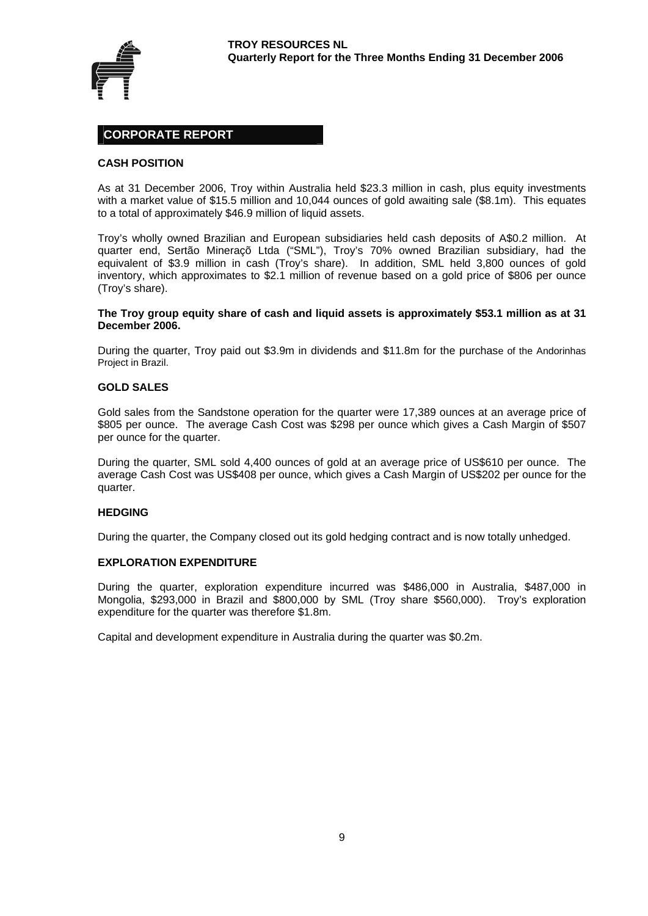

## **CORPORATE REPORT**

#### **CASH POSITION**

As at 31 December 2006, Troy within Australia held \$23.3 million in cash, plus equity investments with a market value of \$15.5 million and 10,044 ounces of gold awaiting sale (\$8.1m). This equates to a total of approximately \$46.9 million of liquid assets.

Troy's wholly owned Brazilian and European subsidiaries held cash deposits of A\$0.2 million. At quarter end, Sertão Mineraçõ Ltda ("SML"), Troy's 70% owned Brazilian subsidiary, had the equivalent of \$3.9 million in cash (Troy's share). In addition, SML held 3,800 ounces of gold inventory, which approximates to \$2.1 million of revenue based on a gold price of \$806 per ounce (Troy's share).

#### **The Troy group equity share of cash and liquid assets is approximately \$53.1 million as at 31 December 2006.**

During the quarter, Troy paid out \$3.9m in dividends and \$11.8m for the purchase of the Andorinhas Project in Brazil.

#### **GOLD SALES**

Gold sales from the Sandstone operation for the quarter were 17,389 ounces at an average price of \$805 per ounce. The average Cash Cost was \$298 per ounce which gives a Cash Margin of \$507 per ounce for the quarter.

During the quarter, SML sold 4,400 ounces of gold at an average price of US\$610 per ounce. The average Cash Cost was US\$408 per ounce, which gives a Cash Margin of US\$202 per ounce for the quarter.

#### **HEDGING**

During the quarter, the Company closed out its gold hedging contract and is now totally unhedged.

#### **EXPLORATION EXPENDITURE**

During the quarter, exploration expenditure incurred was \$486,000 in Australia, \$487,000 in Mongolia, \$293,000 in Brazil and \$800,000 by SML (Troy share \$560,000). Troy's exploration expenditure for the quarter was therefore \$1.8m.

Capital and development expenditure in Australia during the quarter was \$0.2m.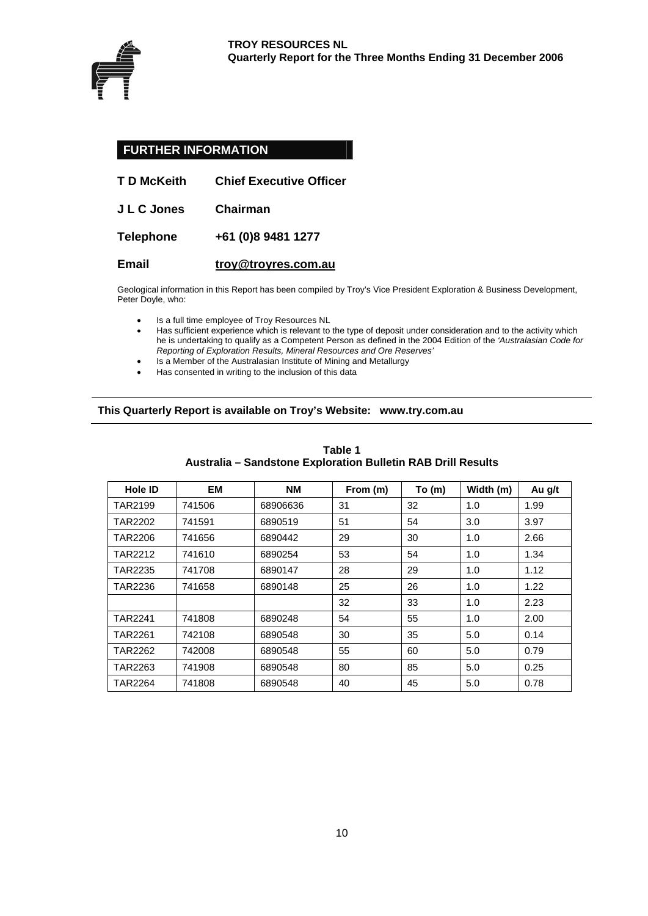

## **FURTHER INFORMATION**

| <b>T D McKeith</b> | <b>Chief Executive Officer</b> |
|--------------------|--------------------------------|
| J L C Jones        | Chairman                       |

**Telephone +61 (0)8 9481 1277** 

#### **Email [troy@troyres.com.au](mailto:troy@troyres.com.au)**

Geological information in this Report has been compiled by Troy's Vice President Exploration & Business Development, Peter Doyle, who:

- Is a full time employee of Troy Resources NL
- Has sufficient experience which is relevant to the type of deposit under consideration and to the activity which he is undertaking to qualify as a Competent Person as defined in the 2004 Edition of the *'Australasian Code for Reporting of Exploration Results, Mineral Resources and Ore Reserves'*
- Is a Member of the Australasian Institute of Mining and Metallurgy
- Has consented in writing to the inclusion of this data

#### **This Quarterly Report is available on Troy's Website: www.try.com.au**

| Hole ID | EM     | <b>NM</b> | From (m) | To(m) | Width (m) | Au g/t |
|---------|--------|-----------|----------|-------|-----------|--------|
| TAR2199 | 741506 | 68906636  | 31       | 32    | 1.0       | 1.99   |
| TAR2202 | 741591 | 6890519   | 51       | 54    | 3.0       | 3.97   |
| TAR2206 | 741656 | 6890442   | 29       | 30    | 1.0       | 2.66   |
| TAR2212 | 741610 | 6890254   | 53       | 54    | 1.0       | 1.34   |
| TAR2235 | 741708 | 6890147   | 28       | 29    | 1.0       | 1.12   |
| TAR2236 | 741658 | 6890148   | 25       | 26    | 1.0       | 1.22   |
|         |        |           | 32       | 33    | 1.0       | 2.23   |
| TAR2241 | 741808 | 6890248   | 54       | 55    | 1.0       | 2.00   |
| TAR2261 | 742108 | 6890548   | 30       | 35    | 5.0       | 0.14   |
| TAR2262 | 742008 | 6890548   | 55       | 60    | 5.0       | 0.79   |
| TAR2263 | 741908 | 6890548   | 80       | 85    | 5.0       | 0.25   |
| TAR2264 | 741808 | 6890548   | 40       | 45    | 5.0       | 0.78   |

## **Table 1 Australia – Sandstone Exploration Bulletin RAB Drill Results**